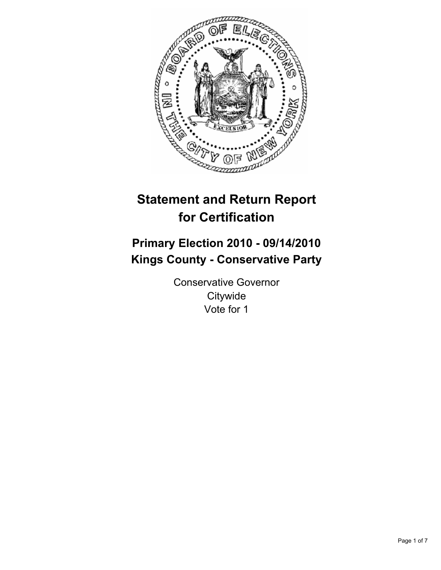

# **Statement and Return Report for Certification**

## **Primary Election 2010 - 09/14/2010 Kings County - Conservative Party**

Conservative Governor **Citywide** Vote for 1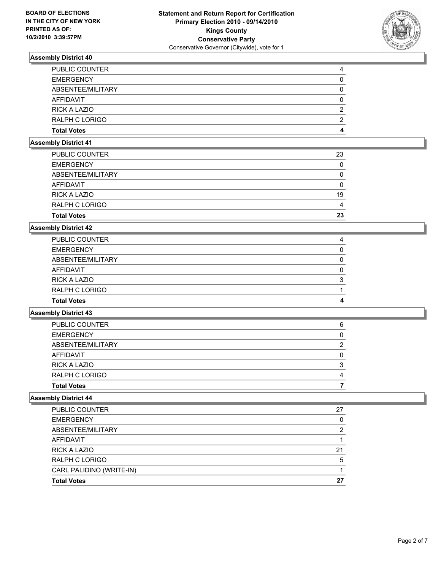

| <b>Total Votes</b>    | 4 |
|-----------------------|---|
| RALPH C LORIGO        | 2 |
| <b>RICK A LAZIO</b>   | 2 |
| AFFIDAVIT             | 0 |
| ABSENTEE/MILITARY     | 0 |
| <b>EMERGENCY</b>      | 0 |
| <b>PUBLIC COUNTER</b> | 4 |

## **Assembly District 41**

| <b>Total Votes</b>    | 23 |
|-----------------------|----|
| RALPH C LORIGO        | 4  |
| <b>RICK A LAZIO</b>   | 19 |
| AFFIDAVIT             | 0  |
| ABSENTEE/MILITARY     | 0  |
| <b>EMERGENCY</b>      | 0  |
| <b>PUBLIC COUNTER</b> | 23 |

## **Assembly District 42**

| <b>PUBLIC COUNTER</b> | 4 |
|-----------------------|---|
| <b>EMERGENCY</b>      |   |
| ABSENTEE/MILITARY     | 0 |
| AFFIDAVIT             | 0 |
| <b>RICK A LAZIO</b>   | 3 |
| RALPH C LORIGO        |   |
| <b>Total Votes</b>    | 4 |

## **Assembly District 43**

| <b>Total Votes</b>    |   |
|-----------------------|---|
| RALPH C LORIGO        | 4 |
| <b>RICK A LAZIO</b>   | 3 |
| AFFIDAVIT             | 0 |
| ABSENTEE/MILITARY     | 2 |
| <b>EMERGENCY</b>      | 0 |
| <b>PUBLIC COUNTER</b> | 6 |

| PUBLIC COUNTER           | 27 |
|--------------------------|----|
| <b>EMERGENCY</b>         | 0  |
| ABSENTEE/MILITARY        | 2  |
| AFFIDAVIT                |    |
| <b>RICK A LAZIO</b>      | 21 |
| RALPH C LORIGO           | 5  |
| CARL PALIDINO (WRITE-IN) |    |
| <b>Total Votes</b>       | 27 |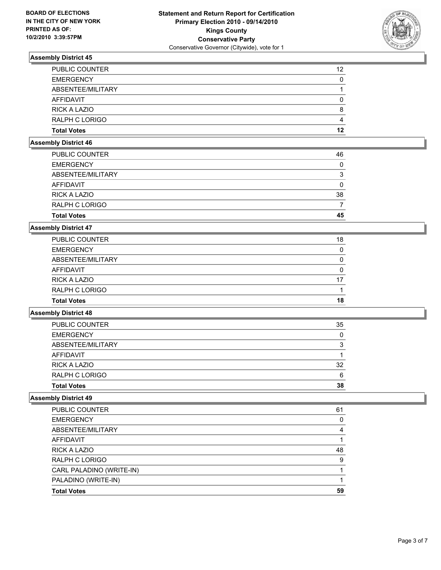

| <b>Total Votes</b>    | 12 |
|-----------------------|----|
| RALPH C LORIGO        | 4  |
| <b>RICK A LAZIO</b>   | 8  |
| AFFIDAVIT             | 0  |
| ABSENTEE/MILITARY     |    |
| <b>EMERGENCY</b>      | 0  |
| <b>PUBLIC COUNTER</b> | 12 |

#### **Assembly District 46**

| <b>Total Votes</b>    | 45 |
|-----------------------|----|
| RALPH C LORIGO        |    |
| RICK A LAZIO          | 38 |
| AFFIDAVIT             | 0  |
| ABSENTEE/MILITARY     | 3  |
| <b>EMERGENCY</b>      | 0  |
| <b>PUBLIC COUNTER</b> | 46 |

#### **Assembly District 47**

| <b>Total Votes</b>    | 18 |
|-----------------------|----|
| RALPH C LORIGO        |    |
| <b>RICK A LAZIO</b>   | 17 |
| AFFIDAVIT             | 0  |
| ABSENTEE/MILITARY     | 0  |
| <b>EMERGENCY</b>      | 0  |
| <b>PUBLIC COUNTER</b> | 18 |

## **Assembly District 48**

| <b>Total Votes</b>    | 38 |
|-----------------------|----|
| RALPH C LORIGO        | 6  |
| <b>RICK A LAZIO</b>   | 32 |
| AFFIDAVIT             |    |
| ABSENTEE/MILITARY     | 3  |
| <b>EMERGENCY</b>      | 0  |
| <b>PUBLIC COUNTER</b> | 35 |

| <b>Total Votes</b>       | 59 |
|--------------------------|----|
| PALADINO (WRITE-IN)      |    |
| CARL PALADINO (WRITE-IN) |    |
| RALPH C LORIGO           | 9  |
| RICK A LAZIO             | 48 |
| <b>AFFIDAVIT</b>         |    |
| ABSENTEE/MILITARY        | 4  |
| <b>EMERGENCY</b>         | 0  |
| <b>PUBLIC COUNTER</b>    | 61 |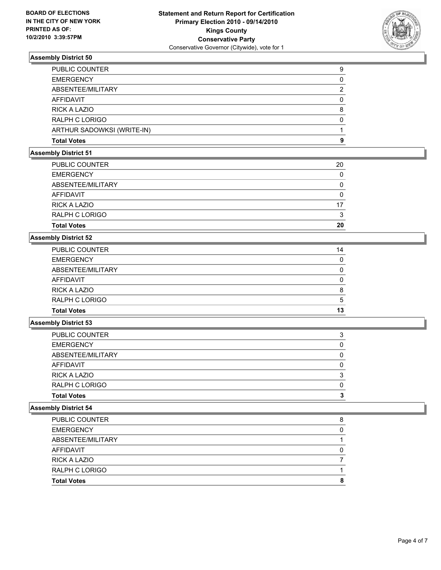

| <b>Total Votes</b>         | 9 |
|----------------------------|---|
| ARTHUR SADOWKSI (WRITE-IN) |   |
| <b>RALPH C LORIGO</b>      |   |
| RICK A LAZIO               | 8 |
| <b>AFFIDAVIT</b>           | 0 |
| ABSENTEE/MILITARY          | 2 |
| <b>EMERGENCY</b>           | 0 |
| <b>PUBLIC COUNTER</b>      | 9 |

#### **Assembly District 51**

| <b>Total Votes</b>  | 20 |
|---------------------|----|
| RALPH C LORIGO      | 3  |
| <b>RICK A LAZIO</b> | 17 |
| AFFIDAVIT           | 0  |
| ABSENTEE/MILITARY   | 0  |
| <b>EMERGENCY</b>    | 0  |
| PUBLIC COUNTER      | 20 |

## **Assembly District 52**

| <b>PUBLIC COUNTER</b> | 14 |
|-----------------------|----|
| <b>EMERGENCY</b>      | 0  |
| ABSENTEE/MILITARY     | 0  |
| AFFIDAVIT             | 0  |
| <b>RICK A LAZIO</b>   | 8  |
| RALPH C LORIGO        | 5  |
| <b>Total Votes</b>    | 13 |

#### **Assembly District 53**

| <b>Total Votes</b>    | 3 |
|-----------------------|---|
| RALPH C LORIGO        | 0 |
| <b>RICK A LAZIO</b>   | 3 |
| AFFIDAVIT             | 0 |
| ABSENTEE/MILITARY     |   |
| <b>EMERGENCY</b>      | 0 |
| <b>PUBLIC COUNTER</b> | 3 |

| <b>Total Votes</b>    | 8 |
|-----------------------|---|
| RALPH C LORIGO        |   |
| <b>RICK A LAZIO</b>   |   |
| AFFIDAVIT             | O |
| ABSENTEE/MILITARY     |   |
| <b>EMERGENCY</b>      | 0 |
| <b>PUBLIC COUNTER</b> | 8 |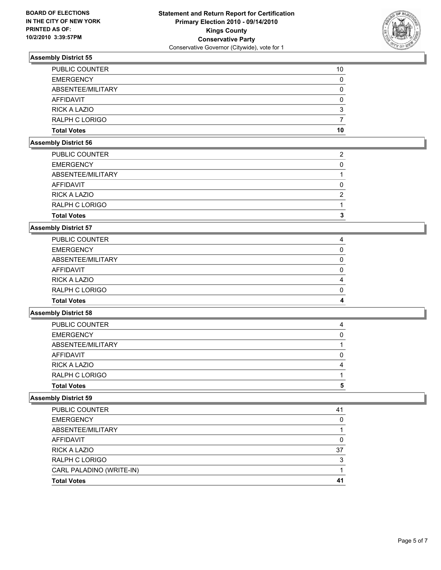

| <b>Total Votes</b>    | 10 |
|-----------------------|----|
| RALPH C LORIGO        |    |
| <b>RICK A LAZIO</b>   | 3  |
| AFFIDAVIT             | 0  |
| ABSENTEE/MILITARY     | 0  |
| <b>EMERGENCY</b>      | 0  |
| <b>PUBLIC COUNTER</b> | 10 |

#### **Assembly District 56**

| <b>Total Votes</b>  | 3 |
|---------------------|---|
| RALPH C LORIGO      |   |
| <b>RICK A LAZIO</b> | 2 |
| <b>AFFIDAVIT</b>    | 0 |
| ABSENTEE/MILITARY   |   |
| <b>EMERGENCY</b>    |   |
| PUBLIC COUNTER      | 2 |

#### **Assembly District 57**

| <b>Total Votes</b>    | 4 |
|-----------------------|---|
| RALPH C LORIGO        | 0 |
| RICK A LAZIO          | 4 |
| AFFIDAVIT             | 0 |
| ABSENTEE/MILITARY     | 0 |
| <b>EMERGENCY</b>      |   |
| <b>PUBLIC COUNTER</b> | 4 |

#### **Assembly District 58**

| <b>Total Votes</b>    |   |
|-----------------------|---|
|                       | 5 |
| RALPH C LORIGO        |   |
| <b>RICK A LAZIO</b>   | 4 |
| AFFIDAVIT             |   |
| ABSENTEE/MILITARY     |   |
| <b>EMERGENCY</b>      | 0 |
| <b>PUBLIC COUNTER</b> | 4 |

| PUBLIC COUNTER           | 41 |
|--------------------------|----|
| <b>EMERGENCY</b>         | 0  |
| ABSENTEE/MILITARY        |    |
| <b>AFFIDAVIT</b>         | 0  |
| <b>RICK A LAZIO</b>      | 37 |
| RALPH C LORIGO           | 3  |
| CARL PALADINO (WRITE-IN) |    |
| <b>Total Votes</b>       | 41 |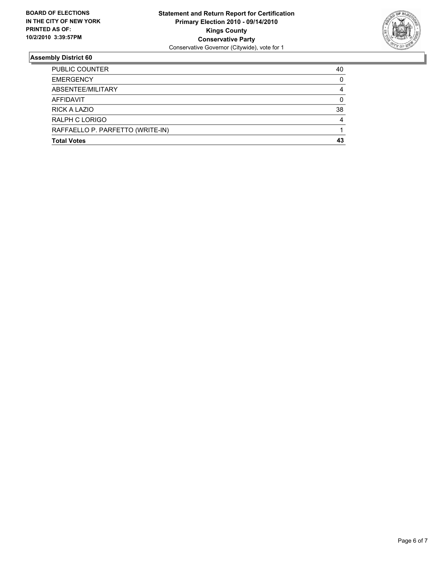

| <b>Total Votes</b>               | 43       |
|----------------------------------|----------|
|                                  |          |
| RAFFAELLO P. PARFETTO (WRITE-IN) |          |
| RALPH C LORIGO                   | 4        |
| <b>RICK A LAZIO</b>              | 38       |
| AFFIDAVIT                        | 0        |
| ABSENTEE/MILITARY                | 4        |
| <b>EMERGENCY</b>                 | $\Omega$ |
| <b>PUBLIC COUNTER</b>            | 40       |